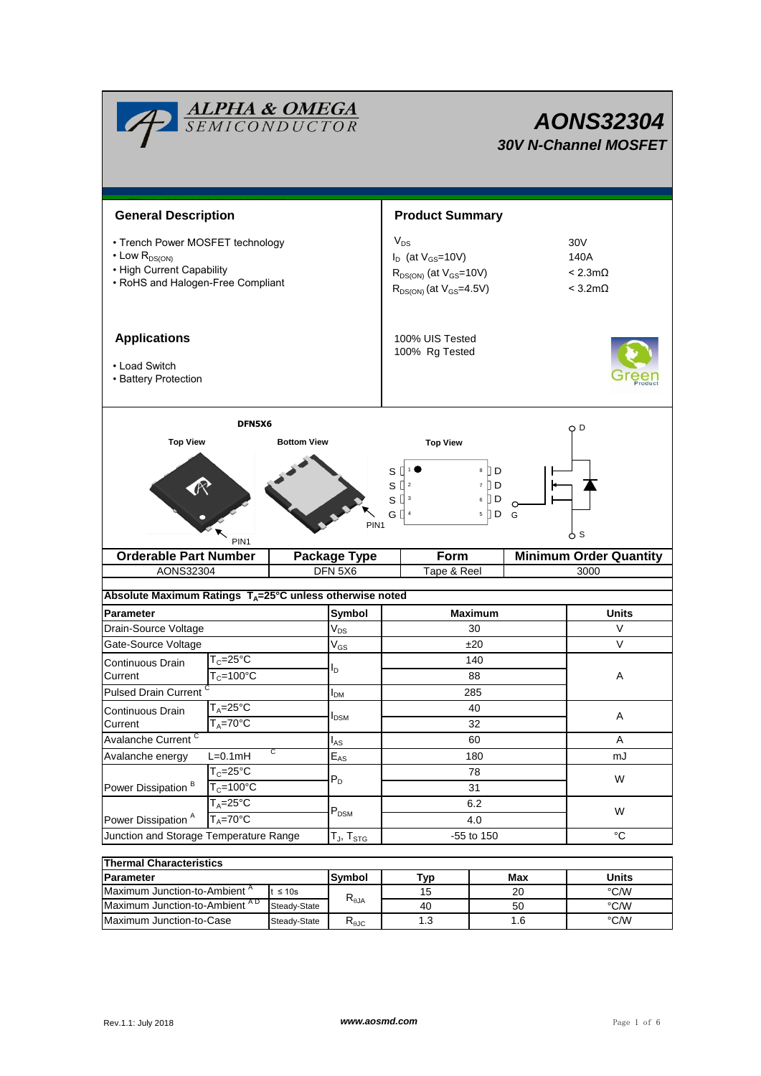| <b>ALPHA &amp; OMEGA</b><br>SEMICONDUCTOR                                                                                               |                                            |          |                                | <b>AONS32304</b><br><b>30V N-Channel MOSFET</b>                                                             |             |   |                                                                 |  |  |
|-----------------------------------------------------------------------------------------------------------------------------------------|--------------------------------------------|----------|--------------------------------|-------------------------------------------------------------------------------------------------------------|-------------|---|-----------------------------------------------------------------|--|--|
| <b>General Description</b>                                                                                                              |                                            |          |                                | <b>Product Summary</b>                                                                                      |             |   |                                                                 |  |  |
| • Trench Power MOSFET technology<br>$\cdot$ Low $R_{DS(ON)}$<br>• High Current Capability<br>• RoHS and Halogen-Free Compliant          |                                            |          |                                | $V_{DS}$<br>$I_D$ (at $V_{GS}$ =10V)<br>$R_{DS(ON)}$ (at $V_{GS}$ =10V)<br>$R_{DS(ON)}$ (at $V_{GS}$ =4.5V) |             |   | 30V<br>140A<br>$< 2.3 \text{m}\Omega$<br>$< 3.2 \text{m}\Omega$ |  |  |
| <b>Applications</b><br>• Load Switch<br>• Battery Protection                                                                            |                                            |          |                                | 100% UIS Tested<br>100% Rg Tested                                                                           |             |   |                                                                 |  |  |
| DFN5X6<br><b>Top View</b><br><b>Bottom View</b>                                                                                         |                                            |          |                                | O D<br><b>Top View</b>                                                                                      |             |   |                                                                 |  |  |
| $8$ D<br>S<br>$S^{12}$<br>$7$ D<br>$S^{13}$<br>$6$ D<br>G $\Box$ <sup>4</sup><br>$5$ D G<br>PIN <sub>1</sub><br>ტ s<br>PIN <sub>1</sub> |                                            |          |                                |                                                                                                             |             |   |                                                                 |  |  |
| <b>Orderable Part Number</b>                                                                                                            |                                            |          | <b>Package Type</b><br>DFN 5X6 |                                                                                                             | Form        |   | <b>Minimum Order Quantity</b><br>3000                           |  |  |
| AONS32304                                                                                                                               |                                            |          |                                |                                                                                                             | Tape & Reel |   |                                                                 |  |  |
| Absolute Maximum Ratings $T_A = 25^\circ C$ unless otherwise noted                                                                      |                                            |          |                                |                                                                                                             |             |   |                                                                 |  |  |
| Parameter                                                                                                                               |                                            |          | Symbol                         | <b>Maximum</b>                                                                                              |             |   | <b>Units</b>                                                    |  |  |
| Drain-Source Voltage                                                                                                                    |                                            |          | $V_{DS}$                       | 30                                                                                                          |             |   | V                                                               |  |  |
| Gate-Source Voltage                                                                                                                     |                                            |          | $V_{GS}$                       | ±20                                                                                                         |             |   | $\vee$                                                          |  |  |
| Continuous Drain<br>Current                                                                                                             | $T_c = 25^\circ \text{C}$<br>$T_c = 100°C$ |          | I <sub>D</sub>                 | 140                                                                                                         |             |   |                                                                 |  |  |
|                                                                                                                                         |                                            |          |                                | 88<br>285                                                                                                   |             |   | Α                                                               |  |  |
| <b>Pulsed Drain Current</b><br>$T_A = 25$ °C                                                                                            |                                            | $I_{DM}$ | 40                             |                                                                                                             |             |   |                                                                 |  |  |
| Continuous Drain<br>Current                                                                                                             | $T_A = 70$ °C                              |          | $I_{DSM}$                      | 32                                                                                                          |             |   | A                                                               |  |  |
| Avalanche Current <sup>C</sup>                                                                                                          |                                            | $I_{AS}$ | 60                             |                                                                                                             |             | Α |                                                                 |  |  |
| Avalanche energy                                                                                                                        | C<br>$L=0.1mH$                             |          | $\mathsf{E}_{\mathsf{AS}}$     | 180                                                                                                         |             |   | mJ                                                              |  |  |
|                                                                                                                                         | $T_c = 25^\circ C$                         |          |                                |                                                                                                             | 78          | W |                                                                 |  |  |
| Power Dissipation <sup>B</sup>                                                                                                          | $T_c = 100^{\circ}$ C                      |          | $P_D$                          | 31                                                                                                          |             |   |                                                                 |  |  |
|                                                                                                                                         | $T_A = 25^{\circ}$ C                       |          | $\mathsf{P}_\mathsf{DSM}$      | 6.2                                                                                                         |             |   | W                                                               |  |  |
| Power Dissipation <sup>A</sup><br>$T_A = 70$ °C                                                                                         |                                            |          |                                | 4.0                                                                                                         |             |   |                                                                 |  |  |
| Junction and Storage Temperature Range<br>$T_{J}$ , $T_{STG}$                                                                           |                                            |          |                                | -55 to 150                                                                                                  |             |   | $\rm ^{\circ}C$                                                 |  |  |
| Thormal Characteristics                                                                                                                 |                                            |          |                                |                                                                                                             |             |   |                                                                 |  |  |

| <b>Thermal Characteristics</b>            |               |                                           |     |       |      |  |  |  |
|-------------------------------------------|---------------|-------------------------------------------|-----|-------|------|--|--|--|
| <b>Parameter</b>                          | <b>Symbol</b> | Tvp                                       | Max | Units |      |  |  |  |
| Maximum Junction-to-Ambient <sup>^</sup>  | t $\leq 10$ s |                                           | 15  | 20    | °C/W |  |  |  |
| Maximum Junction-to-Ambient <sup>AD</sup> | Steady-State  | $R_{\theta$ JA                            | 40  | 50    | °C/W |  |  |  |
| Maximum Junction-to-Case                  | Steady-State  | $\mathsf{R}_{\theta\mathsf{J}\mathsf{C}}$ | 1.3 | 1.6   | °C/W |  |  |  |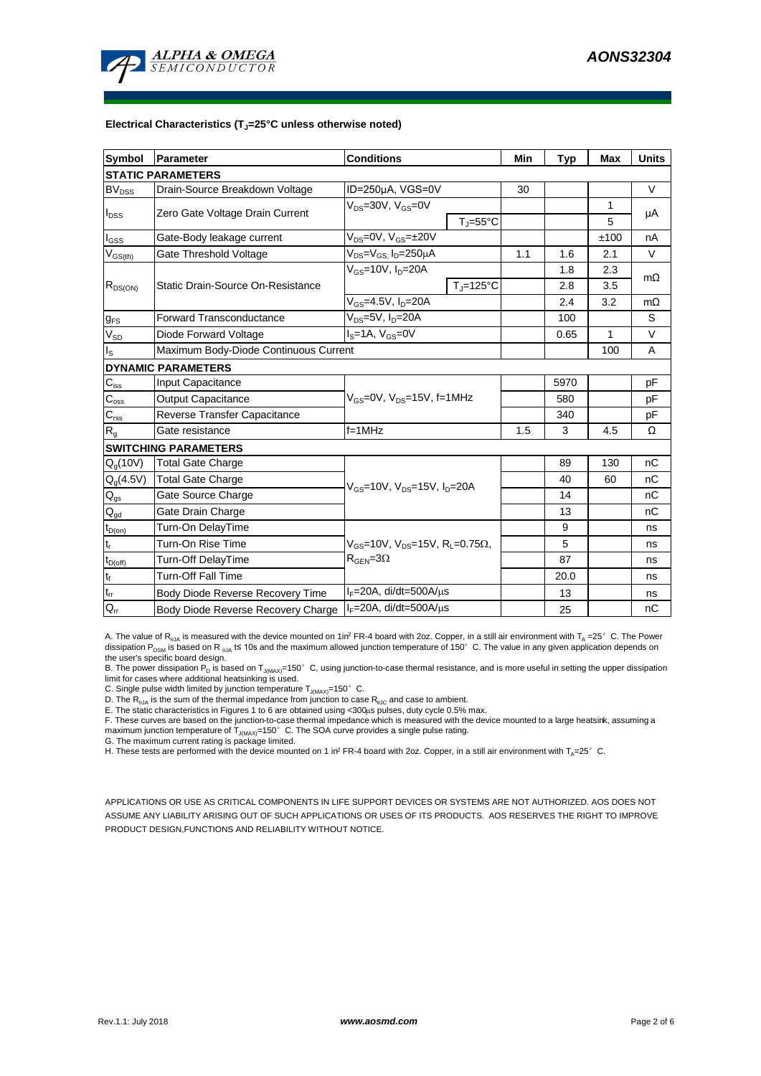

### **Electrical Characteristics (TJ=25°C unless otherwise noted)**

| <b>Symbol</b>                          | Parameter                             | <b>Conditions</b>                                             | Min                          | <b>Typ</b> | <b>Max</b> | <b>Units</b> |           |  |  |
|----------------------------------------|---------------------------------------|---------------------------------------------------------------|------------------------------|------------|------------|--------------|-----------|--|--|
| <b>STATIC PARAMETERS</b>               |                                       |                                                               |                              |            |            |              |           |  |  |
| $BV_{DSS}$                             | Drain-Source Breakdown Voltage        | ID=250µA, VGS=0V                                              |                              | 30         |            |              | V         |  |  |
| l <sub>DSS</sub>                       | Zero Gate Voltage Drain Current       | $V_{DS}$ =30V, $V_{GS}$ =0V                                   |                              |            |            | 1            |           |  |  |
|                                        |                                       |                                                               | $T_{\text{J}} = 55^{\circ}C$ |            |            | 5            | μA        |  |  |
| $I_{GSS}$                              | Gate-Body leakage current             | $V_{DS} = 0V$ , $V_{GS} = \pm 20V$                            |                              |            |            | ±100         | nA        |  |  |
| $V_{GS(th)}$                           | Gate Threshold Voltage                | $V_{DS} = V_{GS}$ , $I_D = 250 \mu A$                         | 1.1                          | 1.6        | 2.1        | V            |           |  |  |
| $R_{DS(ON)}$                           | Static Drain-Source On-Resistance     | $V_{GS}$ =10V, $I_{D}$ =20A                                   |                              |            | 1.8        | 2.3          | $m\Omega$ |  |  |
|                                        |                                       |                                                               | $T_{\rm J}$ =125°C           |            | 2.8        | 3.5          |           |  |  |
|                                        |                                       | $V_{GS} = 4.5V, I_D = 20A$                                    |                              |            | 2.4        | 3.2          | $m\Omega$ |  |  |
| $g_{FS}$                               | <b>Forward Transconductance</b>       | $V_{DS} = 5V$ , $I_D = 20A$                                   |                              | 100        |            | S            |           |  |  |
| $V_{SD}$                               | Diode Forward Voltage                 | $IS=1A, VGS=0V$                                               |                              | 0.65       | 1          | V            |           |  |  |
| $\mathsf{I}_\mathsf{S}$                | Maximum Body-Diode Continuous Current |                                                               |                              |            | 100        | A            |           |  |  |
|                                        | <b>DYNAMIC PARAMETERS</b>             |                                                               |                              |            |            |              |           |  |  |
| $C_{\rm iss}$                          | <b>Input Capacitance</b>              |                                                               |                              |            | 5970       |              | рF        |  |  |
| $C_{\rm oss}$                          | <b>Output Capacitance</b>             | $V_{GS}$ =0V, $V_{DS}$ =15V, f=1MHz                           |                              | 580        |            | рF           |           |  |  |
| $\mathbf{C}_{\text{rss}}$              | Reverse Transfer Capacitance          |                                                               |                              | 340        |            | pF           |           |  |  |
| $R_{g}$                                | Gate resistance                       | $f = 1$ MHz                                                   | 1.5                          | 3          | 4.5        | Ω            |           |  |  |
|                                        | <b>SWITCHING PARAMETERS</b>           |                                                               |                              |            |            |              |           |  |  |
| $Q_q(10V)$                             | <b>Total Gate Charge</b>              | $V_{GS}$ =10V, $V_{DS}$ =15V, $I_{D}$ =20A                    |                              |            | 89         | 130          | nC        |  |  |
| $Q_g(4.5V)$                            | <b>Total Gate Charge</b>              |                                                               |                              |            | 40         | 60           | nC        |  |  |
| $Q_{gs}$                               | Gate Source Charge                    |                                                               |                              |            | 14         |              | nC        |  |  |
| $\mathsf{Q}_{\underline{\mathsf{gd}}}$ | Gate Drain Charge                     |                                                               |                              |            | 13         |              | nC        |  |  |
| $t_{D(on)}$                            | Turn-On DelayTime                     | $V_{GS}$ =10V, $V_{DS}$ =15V, R <sub>1</sub> =0.75 $\Omega$ , |                              |            | 9          |              | ns        |  |  |
| $t_r$                                  | Turn-On Rise Time                     |                                                               |                              |            | 5          |              | ns        |  |  |
| $t_{D(off)}$                           | Turn-Off DelayTime                    | $R_{\text{GEN}} = 3\Omega$                                    |                              | 87         |            | ns           |           |  |  |
| $t_f$                                  | <b>Turn-Off Fall Time</b>             |                                                               |                              | 20.0       |            | ns           |           |  |  |
| $\mathfrak{t}_{\text{rr}}$             | Body Diode Reverse Recovery Time      | $I_F = 20A$ , di/dt=500A/ $\mu$ s                             |                              | 13         |            | ns           |           |  |  |
| $Q_{rr}$                               | Body Diode Reverse Recovery Charge    | $I_F = 20A$ , di/dt=500A/ $\mu$ s                             |                              |            | 25         |              | nC        |  |  |

A. The value of  $R_{qJA}$  is measured with the device mounted on 1in<sup>2</sup> FR-4 board with 2oz. Copper, in a still air environment with T<sub>A</sub> =25°C. The Power dissipation P<sub>DSM</sub> is based on R <sub>0JA</sub> t≤ 10s and the maximum allowed junction temperature of 150°C. The value in any given application depends on the user's specific board design.

B. The power dissipation P<sub>D</sub> is based on T<sub>J(MAX)</sub>=150°C, using junction-to-case thermal resistance, and is more useful in setting the upper dissipation<br>limit for cases where additional heatsinking is used.

C. Single pulse width limited by junction temperature  $T_{J(MAX)}$ =150°C.

D. The  $R_{qJA}$  is the sum of the thermal impedance from junction to case  $R_{qJC}$  and case to ambient.

E. The static characteristics in Figures 1 to 6 are obtained using <300µs pulses, duty cycle 0.5% max.<br>F. These curves are based on the junction-to-case thermal impedance which is measured with the device mounted to a larg maximum junction temperature of  $T_{J(MAX)}$ =150°C. The SOA curve provides a single pulse rating.

G. The maximum current rating is package limited.

H. These tests are performed with the device mounted on 1 in<sup>2</sup> FR-4 board with 2oz. Copper, in a still air environment with T<sub>A</sub>=25°C.

APPLICATIONS OR USE AS CRITICAL COMPONENTS IN LIFE SUPPORT DEVICES OR SYSTEMS ARE NOT AUTHORIZED. AOS DOES NOT ASSUME ANY LIABILITY ARISING OUT OF SUCH APPLICATIONS OR USES OF ITS PRODUCTS. AOS RESERVES THE RIGHT TO IMPROVE PRODUCT DESIGN,FUNCTIONS AND RELIABILITY WITHOUT NOTICE.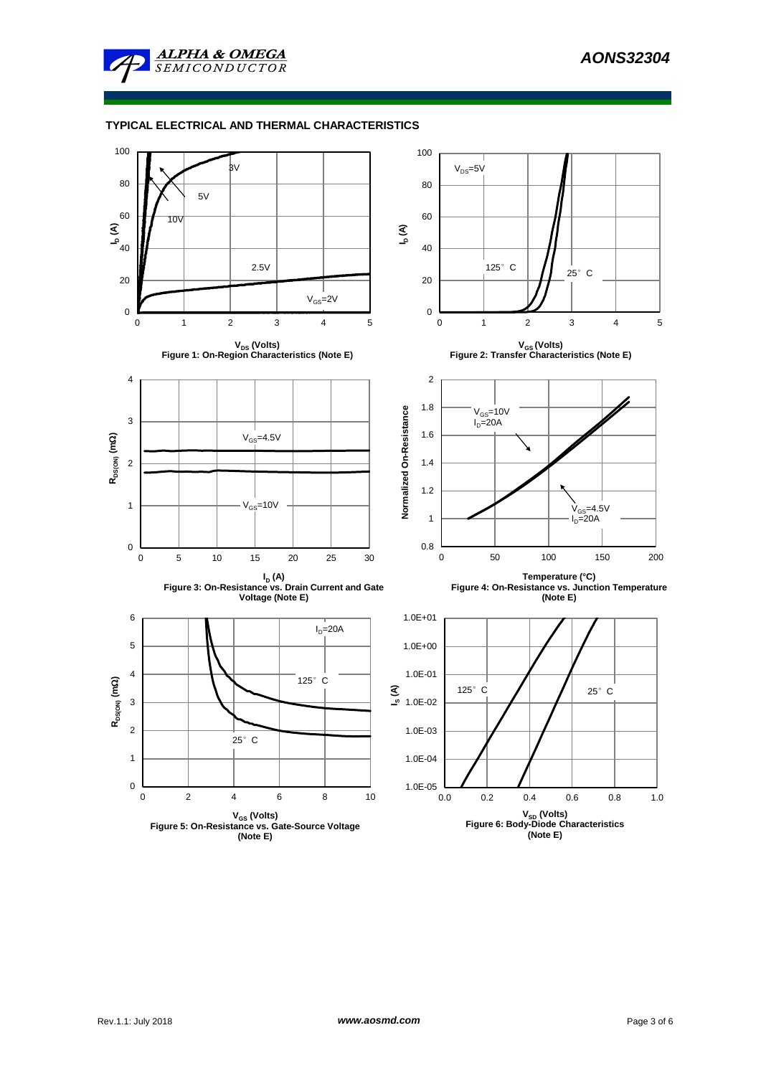

# **TYPICAL ELECTRICAL AND THERMAL CHARACTERISTICS**

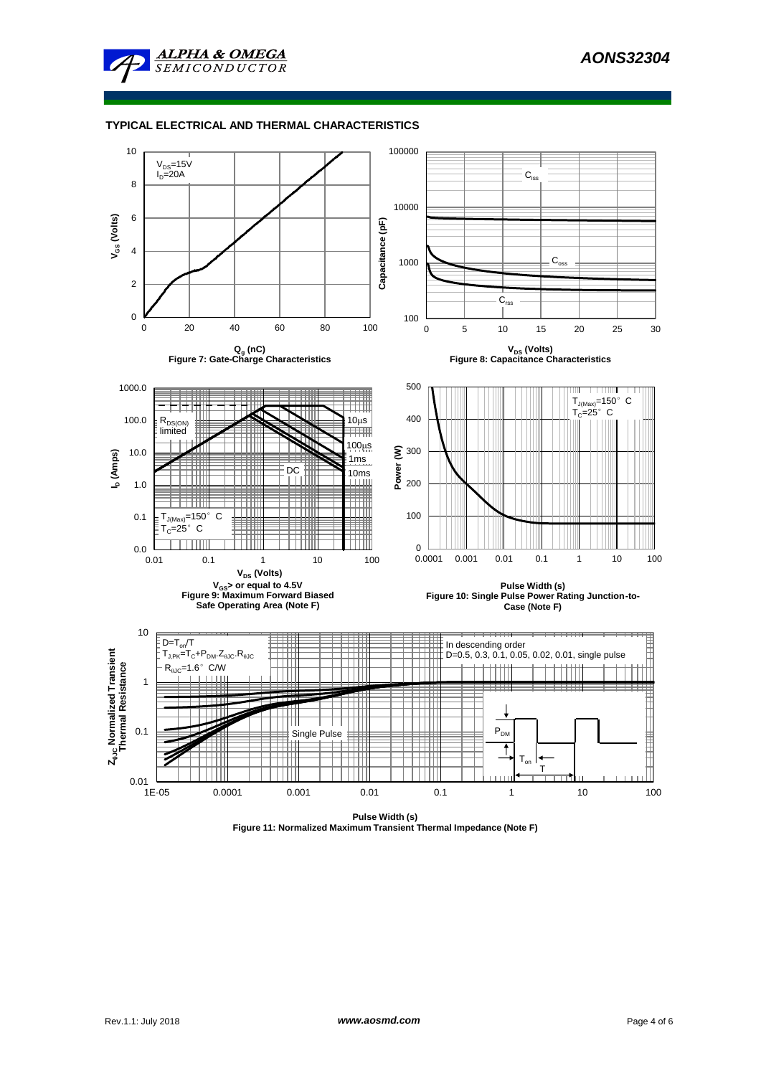

# **TYPICAL ELECTRICAL AND THERMAL CHARACTERISTICS**



**Pulse Width (s) Figure 11: Normalized Maximum Transient Thermal Impedance (Note F)**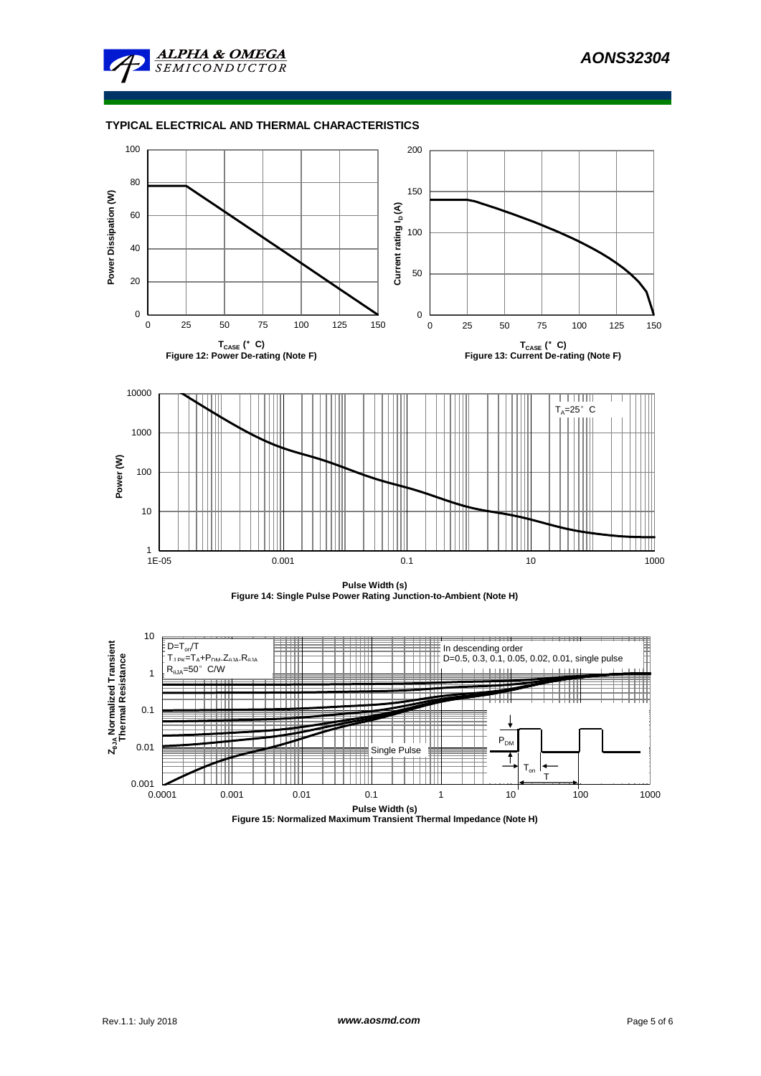

# **TYPICAL ELECTRICAL AND THERMAL CHARACTERISTICS**